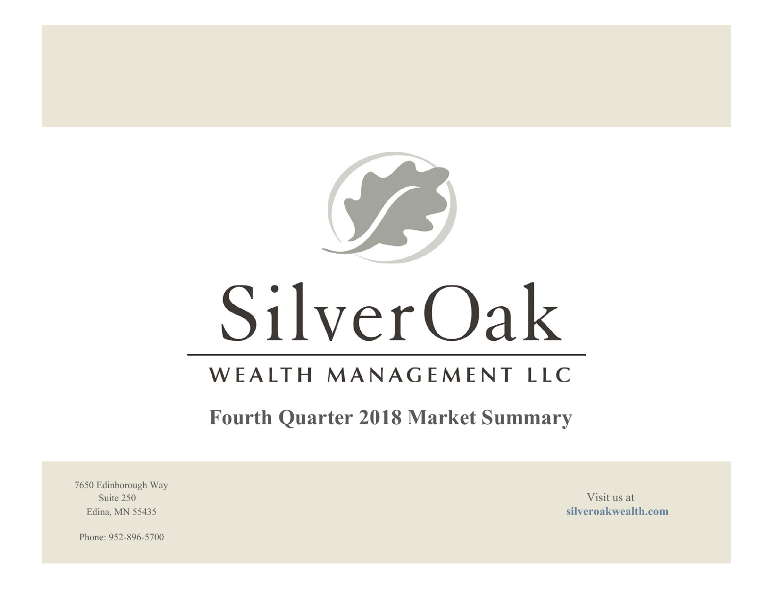

# SilverOak

# WEALTH MANAGEMENT LLC

**Fourth Quarter 2018 Market Summary**

7650 Edinborough Way Suite 250 Visit us at the set of the set of the set of the set of the set of the set of the set of the set of the set of the set of the set of the set of the set of the set of the set of the set of the set of the set of th

Edina, MN 55435 **silveroakwealth.com**

Phone: 952-896-5700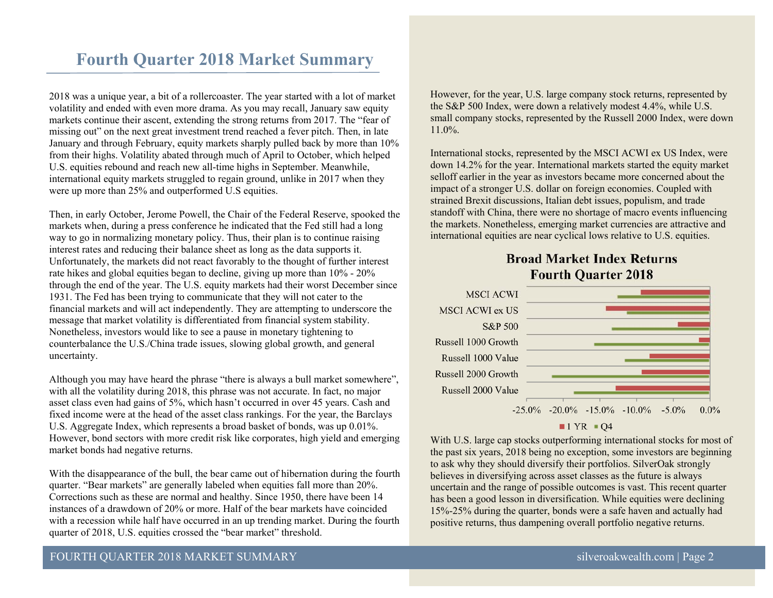# **Fourth Quarter 2018 Market Summary**

2018 was a unique year, a bit of a rollercoaster. The year started with a lot of market volatility and ended with even more drama. As you may recall, January saw equity markets continue their ascent, extending the strong returns from 2017. The "fear of missing out" on the next great investment trend reached a fever pitch. Then, in late January and through February, equity markets sharply pulled back by more than 10% from their highs. Volatility abated through much of April to October, which helped U.S. equities rebound and reach new all-time highs in September. Meanwhile, international equity markets struggled to regain ground, unlike in 2017 when they were up more than 25% and outperformed U.S equities.

Then, in early October, Jerome Powell, the Chair of the Federal Reserve, spooked the markets when, during a press conference he indicated that the Fed still had a long way to go in normalizing monetary policy. Thus, their plan is to continue raising interest rates and reducing their balance sheet as long as the data supports it. Unfortunately, the markets did not react favorably to the thought of further interest rate hikes and global equities began to decline, giving up more than 10% - 20% through the end of the year. The U.S. equity markets had their worst December since 1931. The Fed has been trying to communicate that they will not cater to the financial markets and will act independently. They are attempting to underscore the message that market volatility is differentiated from financial system stability. Nonetheless, investors would like to see a pause in monetary tightening to counterbalance the U.S./China trade issues, slowing global growth, and general uncertainty.

Although you may have heard the phrase "there is always a bull market somewhere", with all the volatility during 2018, this phrase was not accurate. In fact, no major asset class even had gains of 5%, which hasn't occurred in over 45 years. Cash and fixed income were at the head of the asset class rankings. For the year, the Barclays U.S. Aggregate Index, which represents a broad basket of bonds, was up 0.01%. However, bond sectors with more credit risk like corporates, high yield and emerging market bonds had negative returns.

With the disappearance of the bull, the bear came out of hibernation during the fourth quarter. "Bear markets" are generally labeled when equities fall more than 20%. Corrections such as these are normal and healthy. Since 1950, there have been 14 instances of a drawdown of 20% or more. Half of the bear markets have coincided with a recession while half have occurred in an up trending market. During the fourth quarter of 2018, U.S. equities crossed the "bear market" threshold.

However, for the year, U.S. large company stock returns, represented by the S&P 500 Index, were down a relatively modest 4.4%, while U.S. small company stocks, represented by the Russell 2000 Index, were down 11.0%.

International stocks, represented by the MSCI ACWI ex US Index, were down 14.2% for the year. International markets started the equity market selloff earlier in the year as investors became more concerned about the impact of a stronger U.S. dollar on foreign economies. Coupled with strained Brexit discussions, Italian debt issues, populism, and trade standoff with China, there were no shortage of macro events influencing the markets. Nonetheless, emerging market currencies are attractive and international equities are near cyclical lows relative to U.S. equities.

# **Broad Market Index Returns Fourth Ouarter 2018**



With U.S. large cap stocks outperforming international stocks for most of the past six years, 2018 being no exception, some investors are beginning to ask why they should diversify their portfolios. SilverOak strongly believes in diversifying across asset classes as the future is always uncertain and the range of possible outcomes is vast. This recent quarter has been a good lesson in diversification. While equities were declining 15%-25% during the quarter, bonds were a safe haven and actually had positive returns, thus dampening overall portfolio negative returns.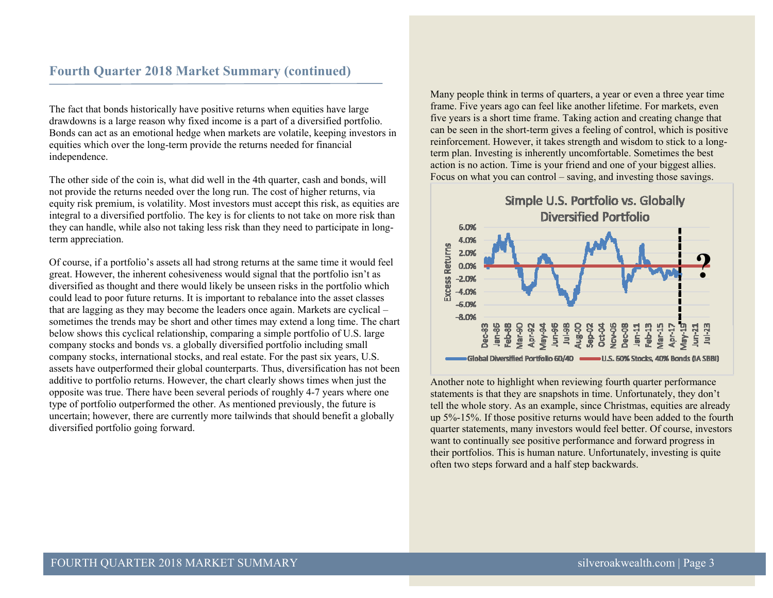# **Fourth Quarter 2018 Market Summary (continued)**

The fact that bonds historically have positive returns when equities have large drawdowns is a large reason why fixed income is a part of a diversified portfolio. Bonds can act as an emotional hedge when markets are volatile, keeping investors in equities which over the long-term provide the returns needed for financial independence.

The other side of the coin is, what did well in the 4th quarter, cash and bonds, will not provide the returns needed over the long run. The cost of higher returns, via equity risk premium, is volatility. Most investors must accept this risk, as equities are integral to a diversified portfolio. The key is for clients to not take on more risk than they can handle, while also not taking less risk than they need to participate in longterm appreciation.

Of course, if a portfolio's assets all had strong returns at the same time it would feel great. However, the inherent cohesiveness would signal that the portfolio isn't as diversified as thought and there would likely be unseen risks in the portfolio which could lead to poor future returns. It is important to rebalance into the asset classes that are lagging as they may become the leaders once again. Markets are cyclical – sometimes the trends may be short and other times may extend a long time. The chart below shows this cyclical relationship, comparing a simple portfolio of U.S. large company stocks and bonds vs. a globally diversified portfolio including small company stocks, international stocks, and real estate. For the past six years, U.S. assets have outperformed their global counterparts. Thus, diversification has not been additive to portfolio returns. However, the chart clearly shows times when just the opposite was true. There have been several periods of roughly 4-7 years where one type of portfolio outperformed the other. As mentioned previously, the future is uncertain; however, there are currently more tailwinds that should benefit a globally diversified portfolio going forward.

Many people think in terms of quarters, a year or even a three year time frame. Five years ago can feel like another lifetime. For markets, even five years is a short time frame. Taking action and creating change that can be seen in the short-term gives a feeling of control, which is positive reinforcement. However, it takes strength and wisdom to stick to a longterm plan. Investing is inherently uncomfortable. Sometimes the best action is no action. Time is your friend and one of your biggest allies. Focus on what you can control – saving, and investing those savings.



Another note to highlight when reviewing fourth quarter performance statements is that they are snapshots in time. Unfortunately, they don't tell the whole story. As an example, since Christmas, equities are already up 5%-15%. If those positive returns would have been added to the fourth quarter statements, many investors would feel better. Of course, investors want to continually see positive performance and forward progress in their portfolios. This is human nature. Unfortunately, investing is quite often two steps forward and a half step backwards.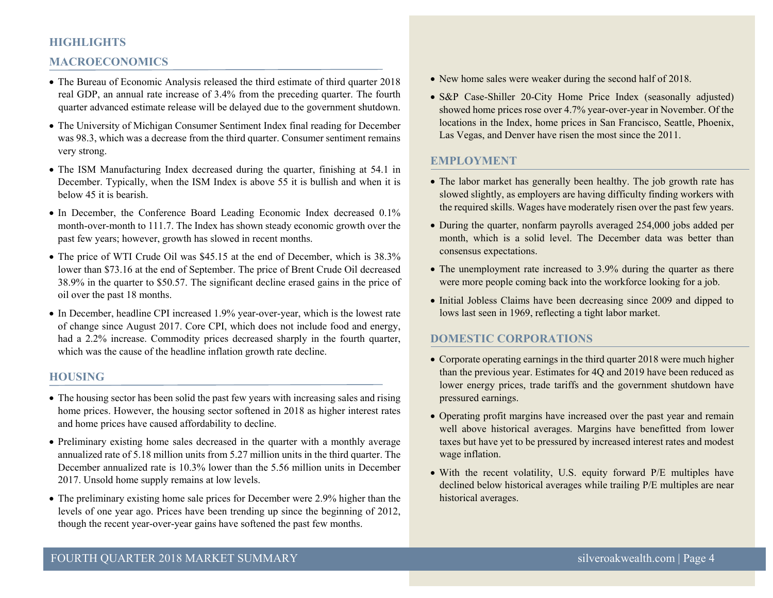#### **HIGHLIGHTS**

#### **MACROECONOMICS**

- The Bureau of Economic Analysis released the third estimate of third quarter 2018 real GDP, an annual rate increase of 3.4% from the preceding quarter. The fourth quarter advanced estimate release will be delayed due to the government shutdown.
- The University of Michigan Consumer Sentiment Index final reading for December was 98.3, which was a decrease from the third quarter. Consumer sentiment remains very strong.
- The ISM Manufacturing Index decreased during the quarter, finishing at 54.1 in December. Typically, when the ISM Index is above 55 it is bullish and when it is below 45 it is bearish.
- In December, the Conference Board Leading Economic Index decreased 0.1% month-over-month to 111.7. The Index has shown steady economic growth over the past few years; however, growth has slowed in recent months.
- The price of WTI Crude Oil was \$45.15 at the end of December, which is 38.3% lower than \$73.16 at the end of September. The price of Brent Crude Oil decreased 38.9% in the quarter to \$50.57. The significant decline erased gains in the price of oil over the past 18 months.
- In December, headline CPI increased 1.9% year-over-year, which is the lowest rate of change since August 2017. Core CPI, which does not include food and energy, had a 2.2% increase. Commodity prices decreased sharply in the fourth quarter, which was the cause of the headline inflation growth rate decline.

#### **HOUSING**

- The housing sector has been solid the past few years with increasing sales and rising home prices. However, the housing sector softened in 2018 as higher interest rates and home prices have caused affordability to decline.
- Preliminary existing home sales decreased in the quarter with a monthly average annualized rate of 5.18 million units from 5.27 million units in the third quarter. The December annualized rate is 10.3% lower than the 5.56 million units in December 2017. Unsold home supply remains at low levels.
- The preliminary existing home sale prices for December were 2.9% higher than the levels of one year ago. Prices have been trending up since the beginning of 2012, though the recent year-over-year gains have softened the past few months.
- New home sales were weaker during the second half of 2018.
- S&P Case-Shiller 20-City Home Price Index (seasonally adjusted) showed home prices rose over 4.7% year-over-year in November. Of the locations in the Index, home prices in San Francisco, Seattle, Phoenix, Las Vegas, and Denver have risen the most since the 2011.

#### **EMPLOYMENT**

- The labor market has generally been healthy. The job growth rate has slowed slightly, as employers are having difficulty finding workers with the required skills. Wages have moderately risen over the past few years.
- During the quarter, nonfarm payrolls averaged 254,000 jobs added per month, which is a solid level. The December data was better than consensus expectations.
- The unemployment rate increased to 3.9% during the quarter as there were more people coming back into the workforce looking for a job.
- Initial Jobless Claims have been decreasing since 2009 and dipped to lows last seen in 1969, reflecting a tight labor market.

#### **DOMESTIC CORPORATIONS**

- Corporate operating earnings in the third quarter 2018 were much higher than the previous year. Estimates for 4Q and 2019 have been reduced as lower energy prices, trade tariffs and the government shutdown have pressured earnings.
- Operating profit margins have increased over the past year and remain well above historical averages. Margins have benefitted from lower taxes but have yet to be pressured by increased interest rates and modest wage inflation.
- With the recent volatility, U.S. equity forward P/E multiples have declined below historical averages while trailing P/E multiples are near historical averages.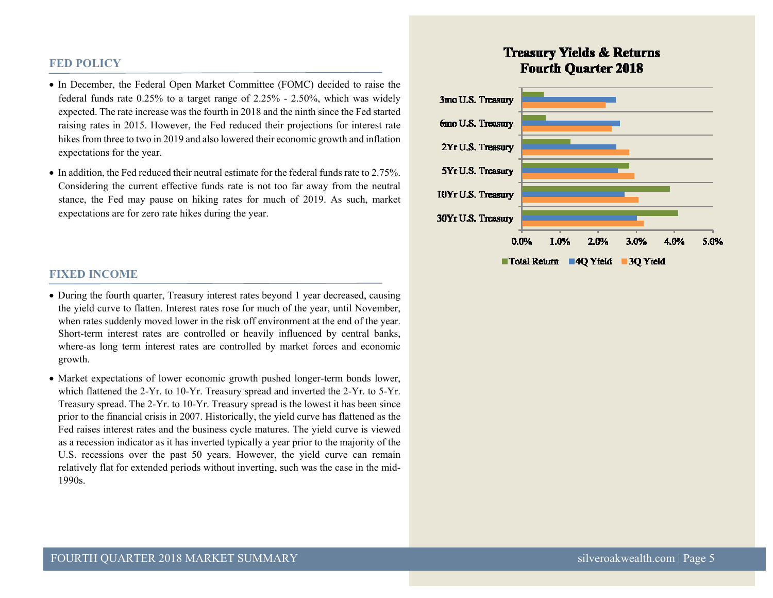#### **FED POLICY**

- In December, the Federal Open Market Committee (FOMC) decided to raise the federal funds rate 0.25% to a target range of 2.25% - 2.50%, which was widely expected. The rate increase was the fourth in 2018 and the ninth since the Fed started raising rates in 2015. However, the Fed reduced their projections for interest rate hikes from three to two in 2019 and also lowered their economic growth and inflation expectations for the year.
- In addition, the Fed reduced their neutral estimate for the federal funds rate to 2.75%. Considering the current effective funds rate is not too far away from the neutral stance, the Fed may pause on hiking rates for much of 2019. As such, market expectations are for zero rate hikes during the year.

#### **FIXED INCOME**

- During the fourth quarter, Treasury interest rates beyond 1 year decreased, causing the yield curve to flatten. Interest rates rose for much of the year, until November, when rates suddenly moved lower in the risk off environment at the end of the year. Short-term interest rates are controlled or heavily influenced by central banks, where-as long term interest rates are controlled by market forces and economic growth.
- Market expectations of lower economic growth pushed longer-term bonds lower, which flattened the 2-Yr. to 10-Yr. Treasury spread and inverted the 2-Yr. to 5-Yr. Treasury spread. The 2-Yr. to 10-Yr. Treasury spread is the lowest it has been since prior to the financial crisis in 2007. Historically, the yield curve has flattened as the Fed raises interest rates and the business cycle matures. The yield curve is viewed as a recession indicator as it has inverted typically a year prior to the majority of the U.S. recessions over the past 50 years. However, the yield curve can remain relatively flat for extended periods without inverting, such was the case in the mid-1990s.

# **Treasury Yields & Returns Fourth Ouarter 2018**

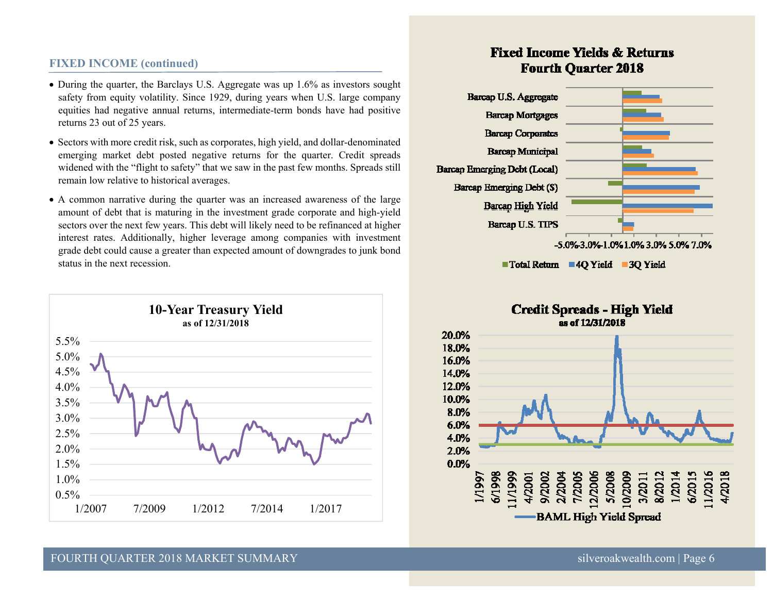#### **FIXED INCOME (continued)**

- During the quarter, the Barclays U.S. Aggregate was up 1.6% as investors sought safety from equity volatility. Since 1929, during years when U.S. large company equities had negative annual returns, intermediate-term bonds have had positive returns 23 out of 25 years.
- Sectors with more credit risk, such as corporates, high yield, and dollar-denominated emerging market debt posted negative returns for the quarter. Credit spreads widened with the "flight to safety" that we saw in the past few months. Spreads still remain low relative to historical averages.
- A common narrative during the quarter was an increased awareness of the large amount of debt that is maturing in the investment grade corporate and high-yield sectors over the next few years. This debt will likely need to be refinanced at higher interest rates. Additionally, higher leverage among companies with investment grade debt could cause a greater than expected amount of downgrades to junk bond status in the next recession.



# **Fixed Income Yields & Returns Fourth Ouarter 2018**



■ Total Return ■ 4Q Yield ■ 3Q Yield



#### FOURTH QUARTER 2018 MARKET SUMMARY silveroakwealth.com | Page 6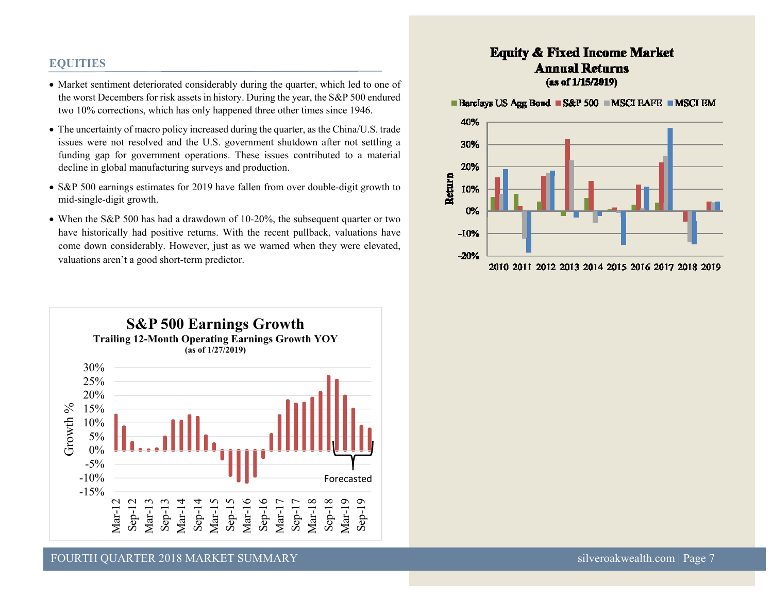#### **EQUITIES**

- Market sentiment deteriorated considerably during the quarter, which led to one of the worst Decembers for risk assets in history. During the year, the S&P 500 endured two 10% corrections, which has only happened three other times since 1946.
- The uncertainty of macro policy increased during the quarter, as the China/U.S. trade issues were not resolved and the U.S. government shutdown after not settling a funding gap for government operations. These issues contributed to a material decline in global manufacturing surveys and production.
- S&P 500 earnings estimates for 2019 have fallen from over double-digit growth to mid-single-digit growth.
- When the S&P 500 has had a drawdown of 10-20%, the subsequent quarter or two have historically had positive returns. With the recent pullback, valuations have come down considerably. However, just as we warned when they were elevated, valuations aren't a good short-term predictor.



# **Equity & Fixed Income Market Annual Returns** (as of 1/15/2019)

■ Barclays US Agg Bond ■ S&P 500 ■ MSCI EAFE ■ MSCI EM

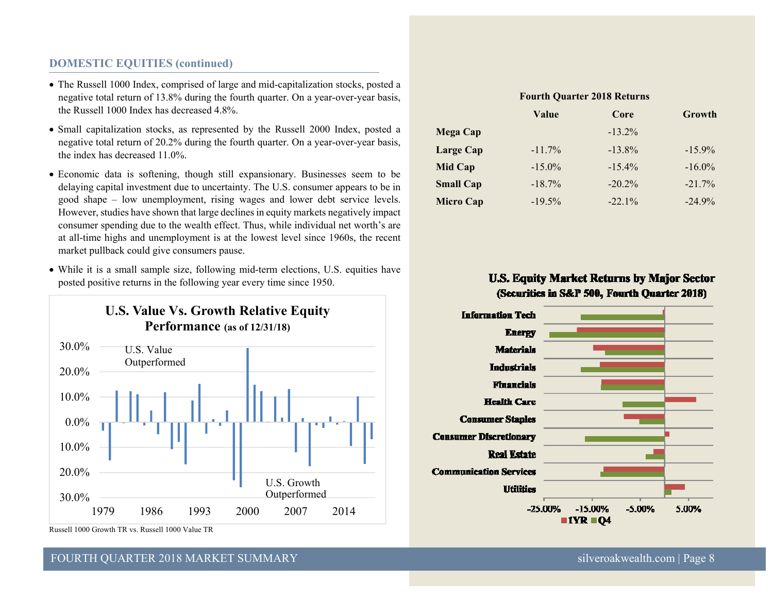## **DOMESTIC EQUITIES (continued)**

- The Russell 1000 Index, comprised of large and mid-capitalization stocks, posted a negative total return of 13.8% during the fourth quarter. On a year-over-year basis, the Russell 1000 Index has decreased 4.8%.
- Small capitalization stocks, as represented by the Russell 2000 Index, posted a negative total return of 20.2% during the fourth quarter. On a year-over-year basis, the index has decreased 11.0%.
- Economic data is softening, though still expansionary. Businesses seem to be delaying capital investment due to uncertainty. The U.S. consumer appears to be in good shape – low unemployment, rising wages and lower debt service levels. However, studies have shown that large declines in equity markets negatively impact consumer spending due to the wealth effect. Thus, while individual net worth's are at all-time highs and unemployment is at the lowest level since 1960s, the recent market pullback could give consumers pause.
- While it is a small sample size, following mid-term elections, U.S. equities have posted positive returns in the following year every time since 1950.



Russell 1000 Growth TR vs. Russell 1000 Value TR

# FOURTH QUARTER 2018 MARKET SUMMARY silveroakwealth.com | Page 8

|                  | <b>Fourth Quarter 2018 Returns</b> |           |           |
|------------------|------------------------------------|-----------|-----------|
|                  | Value                              | Core      | Growth    |
| Mega Cap         |                                    | $-13.2\%$ |           |
| Large Cap        | $-11.7%$                           | $-13.8\%$ | $-15.9\%$ |
| <b>Mid Cap</b>   | $-15.0\%$                          | $-15.4\%$ | $-16.0\%$ |
| <b>Small Cap</b> | $-18.7%$                           | $-20.2%$  | $-21.7%$  |
| <b>Micro Cap</b> | $-19.5%$                           | $-22.1%$  | $-24.9%$  |

# U.S. Equity Market Returns by Major Sector (Securities in S&P 500, Fourth Quarter 2018)

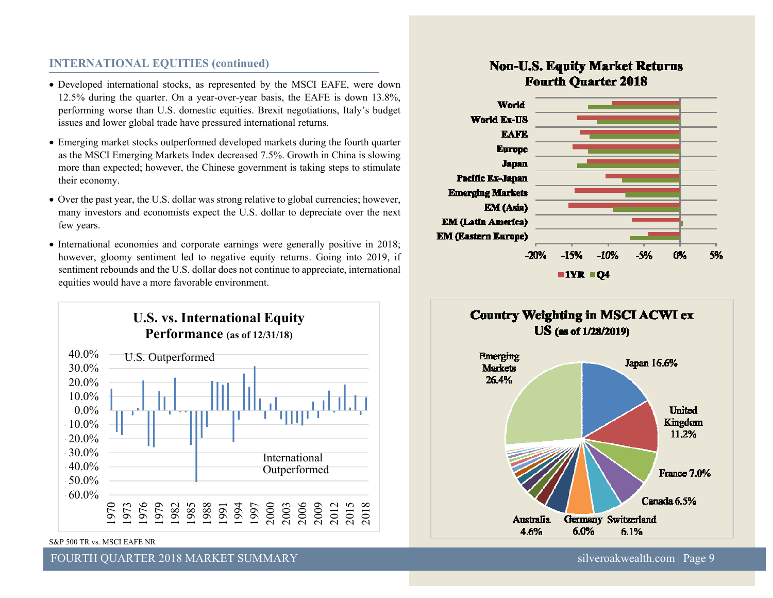#### **INTERNATIONAL EQUITIES (continued)**

- Developed international stocks, as represented by the MSCI EAFE, were down 12.5% during the quarter. On a year-over-year basis, the EAFE is down 13.8%, performing worse than U.S. domestic equities. Brexit negotiations, Italy's budget issues and lower global trade have pressured international returns.
- Emerging market stocks outperformed developed markets during the fourth quarter as the MSCI Emerging Markets Index decreased 7.5%. Growth in China is slowing more than expected; however, the Chinese government is taking steps to stimulate their economy.
- Over the past year, the U.S. dollar was strong relative to global currencies; however, many investors and economists expect the U.S. dollar to depreciate over the next few years.
- International economies and corporate earnings were generally positive in 2018; however, gloomy sentiment led to negative equity returns. Going into 2019, if sentiment rebounds and the U.S. dollar does not continue to appreciate, international equities would have a more favorable environment.



S&P 500 TR vs. MSCI EAFE NR

FOURTH QUARTER 2018 MARKET SUMMARY silveroakwealth.com | Page 9

# **Non-U.S. Equity Market Returns Fourth Ouarter 2018**